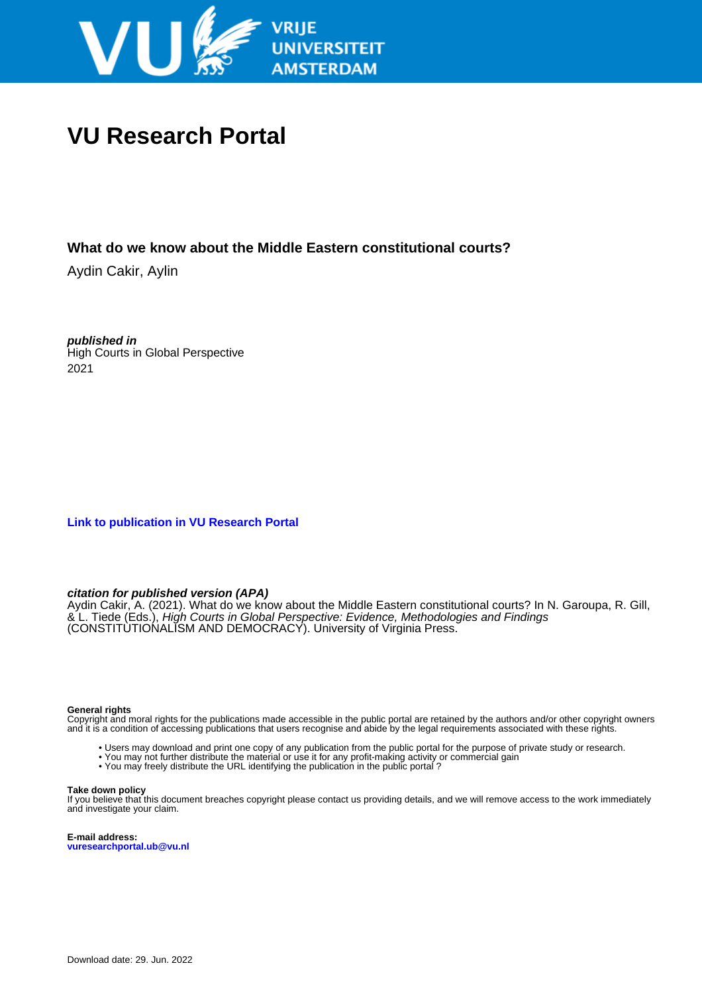

# **VU Research Portal**

# **What do we know about the Middle Eastern constitutional courts?**

Aydin Cakir, Aylin

**published in** High Courts in Global Perspective 2021

**[Link to publication in VU Research Portal](https://research.vu.nl/en/publications/84fb49f0-b61c-4528-880b-763fd169c84b)**

# **citation for published version (APA)**

Aydin Cakir, A. (2021). What do we know about the Middle Eastern constitutional courts? In N. Garoupa, R. Gill, & L. Tiede (Eds.), High Courts in Global Perspective: Evidence, Methodologies and Findings (CONSTITUTIONALISM AND DEMOCRACY). University of Virginia Press.

# **General rights**

Copyright and moral rights for the publications made accessible in the public portal are retained by the authors and/or other copyright owners and it is a condition of accessing publications that users recognise and abide by the legal requirements associated with these rights.

- Users may download and print one copy of any publication from the public portal for the purpose of private study or research.
- You may not further distribute the material or use it for any profit-making activity or commercial gain
- You may freely distribute the URL identifying the publication in the public portal ?

### **Take down policy**

If you believe that this document breaches copyright please contact us providing details, and we will remove access to the work immediately and investigate your claim.

**E-mail address: vuresearchportal.ub@vu.nl**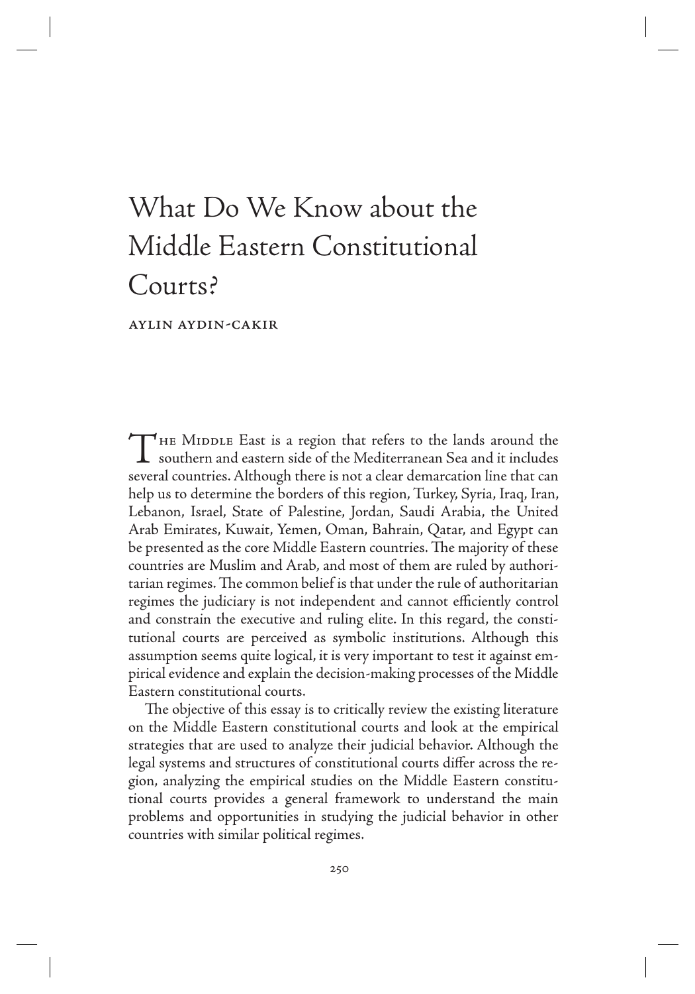# What Do We Know about the Middle Eastern Constitutional Courts?

Aylin Aydin-Cakir

THE MIDDLE East is a region that refers to the lands around the southern and eastern side of the Mediterranean Sea and it includes several countries. Although there is not a clear demarcation line that can help us to determine the borders of this region, Turkey, Syria, Iraq, Iran, Lebanon, Israel, State of Palestine, Jordan, Saudi Arabia, the United Arab Emirates, Kuwait, Yemen, Oman, Bahrain, Qatar, and Egypt can be presented as the core Middle Eastern countries. The majority of these countries are Muslim and Arab, and most of them are ruled by authoritarian regimes. The common belief is that under the rule of authoritarian regimes the judiciary is not independent and cannot efficiently control and constrain the executive and ruling elite. In this regard, the constitutional courts are perceived as symbolic institutions. Although this assumption seems quite logical, it is very important to test it against empirical evidence and explain the decision-making processes of the Middle Eastern constitutional courts.

The objective of this essay is to critically review the existing literature on the Middle Eastern constitutional courts and look at the empirical strategies that are used to analyze their judicial behavior. Although the legal systems and structures of constitutional courts differ across the region, analyzing the empirical studies on the Middle Eastern constitutional courts provides a general framework to understand the main problems and opportunities in studying the judicial behavior in other countries with similar political regimes.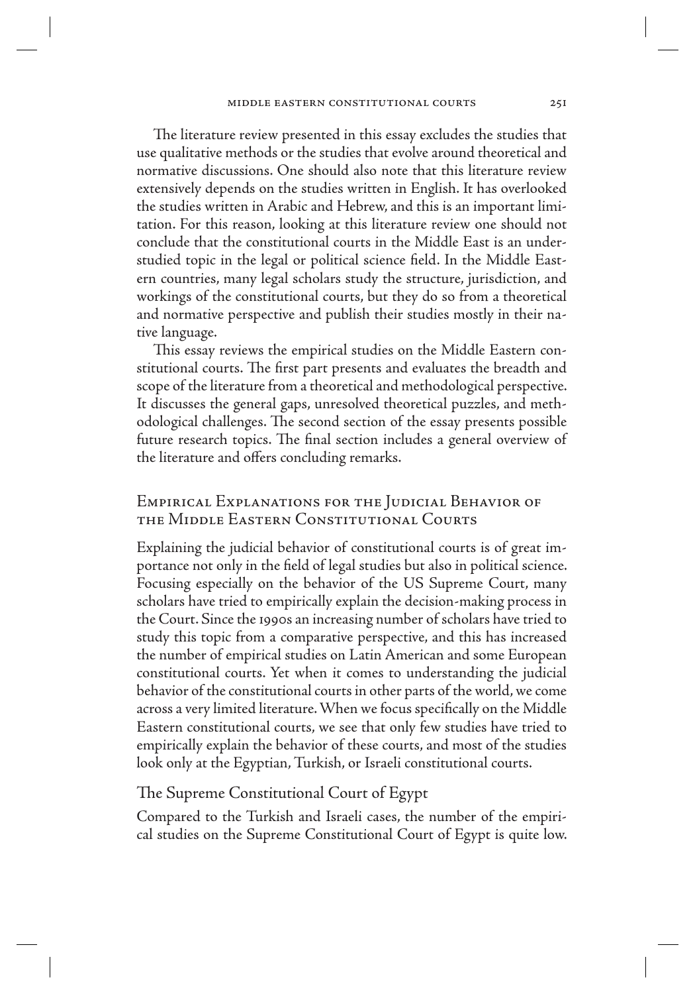The literature review presented in this essay excludes the studies that use qualitative methods or the studies that evolve around theoretical and normative discussions. One should also note that this literature review extensively depends on the studies written in English. It has overlooked the studies written in Arabic and Hebrew, and this is an important limitation. For this reason, looking at this literature review one should not conclude that the constitutional courts in the Middle East is an understudied topic in the legal or political science field. In the Middle Eastern countries, many legal scholars study the structure, jurisdiction, and workings of the constitutional courts, but they do so from a theoretical and normative perspective and publish their studies mostly in their native language.

This essay reviews the empirical studies on the Middle Eastern constitutional courts. The first part presents and evaluates the breadth and scope of the literature from a theoretical and methodological perspective. It discusses the general gaps, unresolved theoretical puzzles, and methodological challenges. The second section of the essay presents possible future research topics. The final section includes a general overview of the literature and offers concluding remarks.

# Empirical Explanations for the Judicial Behavior of the Middle Eastern Constitutional Courts

Explaining the judicial behavior of constitutional courts is of great importance not only in the field of legal studies but also in political science. Focusing especially on the behavior of the US Supreme Court, many scholars have tried to empirically explain the decision-making process in the Court. Since the 1990s an increasing number of scholars have tried to study this topic from a comparative perspective, and this has increased the number of empirical studies on Latin American and some European constitutional courts. Yet when it comes to understanding the judicial behavior of the constitutional courts in other parts of the world, we come across a very limited literature. When we focus specifically on the Middle Eastern constitutional courts, we see that only few studies have tried to empirically explain the behavior of these courts, and most of the studies look only at the Egyptian, Turkish, or Israeli constitutional courts.

# The Supreme Constitutional Court of Egypt

Compared to the Turkish and Israeli cases, the number of the empirical studies on the Supreme Constitutional Court of Egypt is quite low.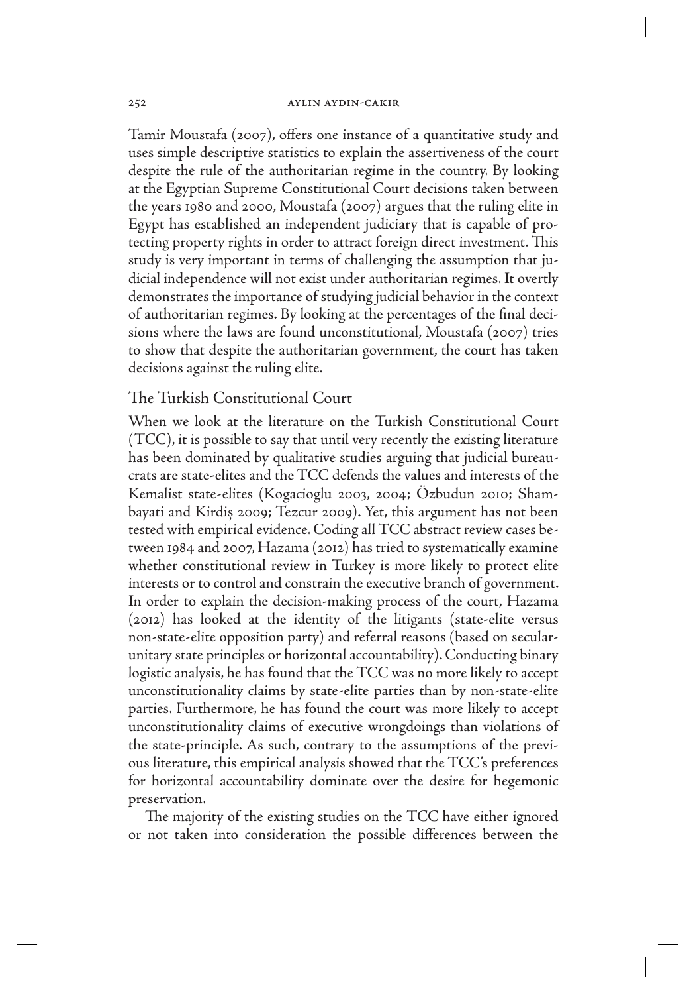Tamir Moustafa (2007), offers one instance of a quantitative study and uses simple descriptive statistics to explain the assertiveness of the court despite the rule of the authoritarian regime in the country. By looking at the Egyptian Supreme Constitutional Court decisions taken between the years 1980 and 2000, Moustafa (2007) argues that the ruling elite in Egypt has established an independent judiciary that is capable of protecting property rights in order to attract foreign direct investment. This study is very important in terms of challenging the assumption that judicial independence will not exist under authoritarian regimes. It overtly demonstrates the importance of studying judicial behavior in the context of authoritarian regimes. By looking at the percentages of the final decisions where the laws are found unconstitutional, Moustafa (2007) tries to show that despite the authoritarian government, the court has taken decisions against the ruling elite.

# The Turkish Constitutional Court

When we look at the literature on the Turkish Constitutional Court (TCC), it is possible to say that until very recently the existing literature has been dominated by qualitative studies arguing that judicial bureaucrats are state-elites and the TCC defends the values and interests of the Kemalist state-elites (Kogacioglu 2003, 2004; Özbudun 2010; Shambayati and Kirdiș 2009; Tezcur 2009). Yet, this argument has not been tested with empirical evidence. Coding all TCC abstract review cases between 1984 and 2007, Hazama (2012) has tried to systematically examine whether constitutional review in Turkey is more likely to protect elite interests or to control and constrain the executive branch of government. In order to explain the decision-making process of the court, Hazama (2012) has looked at the identity of the litigants (state-elite versus non-state-elite opposition party) and referral reasons (based on secularunitary state principles or horizontal accountability). Conducting binary logistic analysis, he has found that the TCC was no more likely to accept unconstitutionality claims by state-elite parties than by non-state-elite parties. Furthermore, he has found the court was more likely to accept unconstitutionality claims of executive wrongdoings than violations of the state-principle. As such, contrary to the assumptions of the previous literature, this empirical analysis showed that the TCC's preferences for horizontal accountability dominate over the desire for hegemonic preservation.

The majority of the existing studies on the TCC have either ignored or not taken into consideration the possible differences between the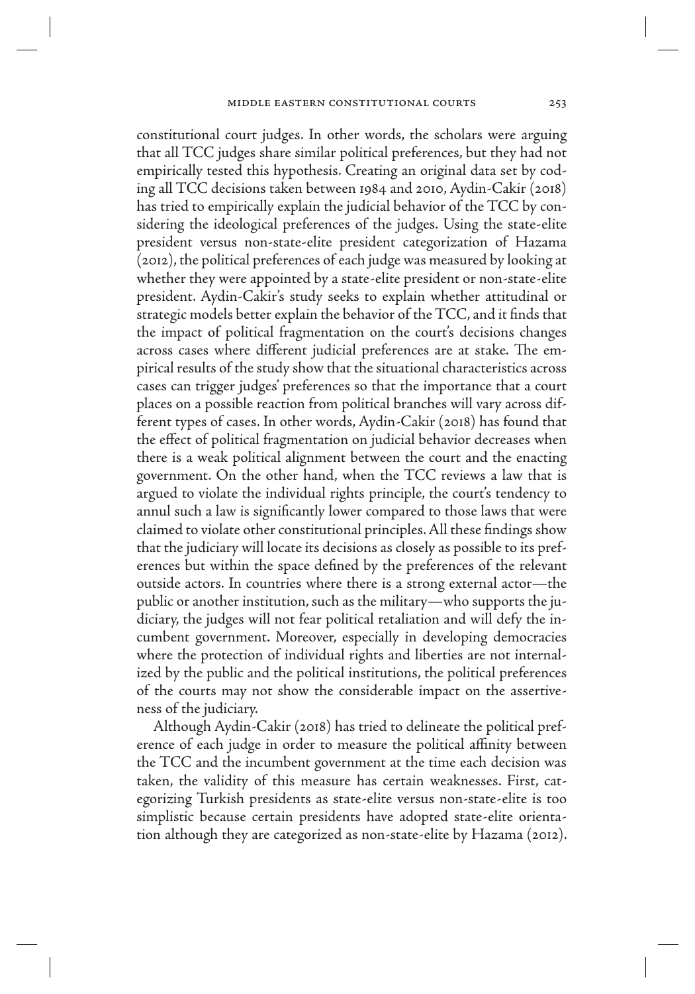constitutional court judges. In other words, the scholars were arguing that all TCC judges share similar political preferences, but they had not empirically tested this hypothesis. Creating an original data set by coding all TCC decisions taken between 1984 and 2010, Aydin-Cakir (2018) has tried to empirically explain the judicial behavior of the TCC by considering the ideological preferences of the judges. Using the state-elite president versus non-state-elite president categorization of Hazama (2012), the political preferences of each judge was measured by looking at whether they were appointed by a state-elite president or non-state-elite president. Aydin-Cakir's study seeks to explain whether attitudinal or strategic models better explain the behavior of the TCC, and it finds that the impact of political fragmentation on the court's decisions changes across cases where different judicial preferences are at stake. The empirical results of the study show that the situational characteristics across cases can trigger judges' preferences so that the importance that a court places on a possible reaction from political branches will vary across different types of cases. In other words, Aydin-Cakir (2018) has found that the effect of political fragmentation on judicial behavior decreases when there is a weak political alignment between the court and the enacting government. On the other hand, when the TCC reviews a law that is argued to violate the individual rights principle, the court's tendency to annul such a law is significantly lower compared to those laws that were claimed to violate other constitutional principles. All these findings show that the judiciary will locate its decisions as closely as possible to its preferences but within the space defined by the preferences of the relevant outside actors. In countries where there is a strong external actor—the public or another institution, such as the military—who supports the judiciary, the judges will not fear political retaliation and will defy the incumbent government. Moreover, especially in developing democracies where the protection of individual rights and liberties are not internalized by the public and the political institutions, the political preferences of the courts may not show the considerable impact on the assertiveness of the judiciary.

Although Aydin-Cakir (2018) has tried to delineate the political preference of each judge in order to measure the political affinity between the TCC and the incumbent government at the time each decision was taken, the validity of this measure has certain weaknesses. First, categorizing Turkish presidents as state-elite versus non-state-elite is too simplistic because certain presidents have adopted state-elite orientation although they are categorized as non-state-elite by Hazama (2012).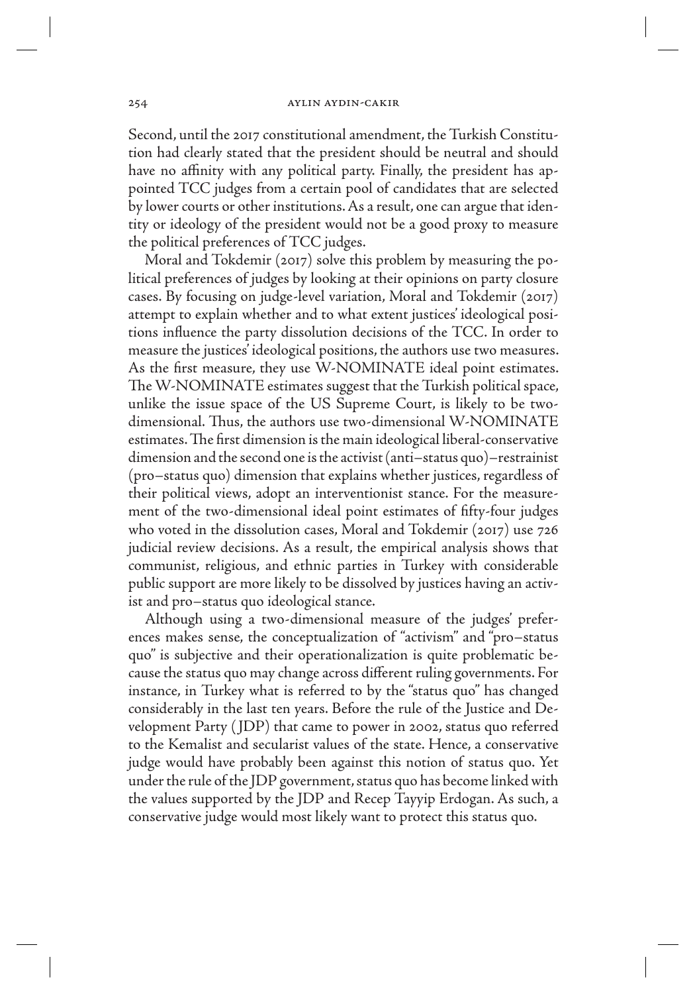Second, until the 2017 constitutional amendment, the Turkish Constitution had clearly stated that the president should be neutral and should have no affinity with any political party. Finally, the president has appointed TCC judges from a certain pool of candidates that are selected by lower courts or other institutions. As a result, one can argue that identity or ideology of the president would not be a good proxy to measure the political preferences of TCC judges.

Moral and Tokdemir (2017) solve this problem by measuring the political preferences of judges by looking at their opinions on party closure cases. By focusing on judge-level variation, Moral and Tokdemir (2017) attempt to explain whether and to what extent justices' ideological positions influence the party dissolution decisions of the TCC. In order to measure the justices' ideological positions, the authors use two measures. As the first measure, they use W-NOMINATE ideal point estimates. The W-NOMINATE estimates suggest that the Turkish political space, unlike the issue space of the US Supreme Court, is likely to be twodimensional. Thus, the authors use two-dimensional W-NOMINATE estimates. The first dimension is the main ideological liberal-conservative dimension and the second one is the activist (anti–status quo)–restrainist (pro–status quo) dimension that explains whether justices, regardless of their political views, adopt an interventionist stance. For the measurement of the two-dimensional ideal point estimates of fifty-four judges who voted in the dissolution cases, Moral and Tokdemir (2017) use 726 judicial review decisions. As a result, the empirical analysis shows that communist, religious, and ethnic parties in Turkey with considerable public support are more likely to be dissolved by justices having an activist and pro–status quo ideological stance.

Although using a two-dimensional measure of the judges' preferences makes sense, the conceptualization of "activism" and "pro–status quo" is subjective and their operationalization is quite problematic because the status quo may change across different ruling governments. For instance, in Turkey what is referred to by the "status quo" has changed considerably in the last ten years. Before the rule of the Justice and Development Party ( JDP) that came to power in 2002, status quo referred to the Kemalist and secularist values of the state. Hence, a conservative judge would have probably been against this notion of status quo. Yet under the rule of the JDP government, status quo has become linked with the values supported by the JDP and Recep Tayyip Erdogan. As such, a conservative judge would most likely want to protect this status quo.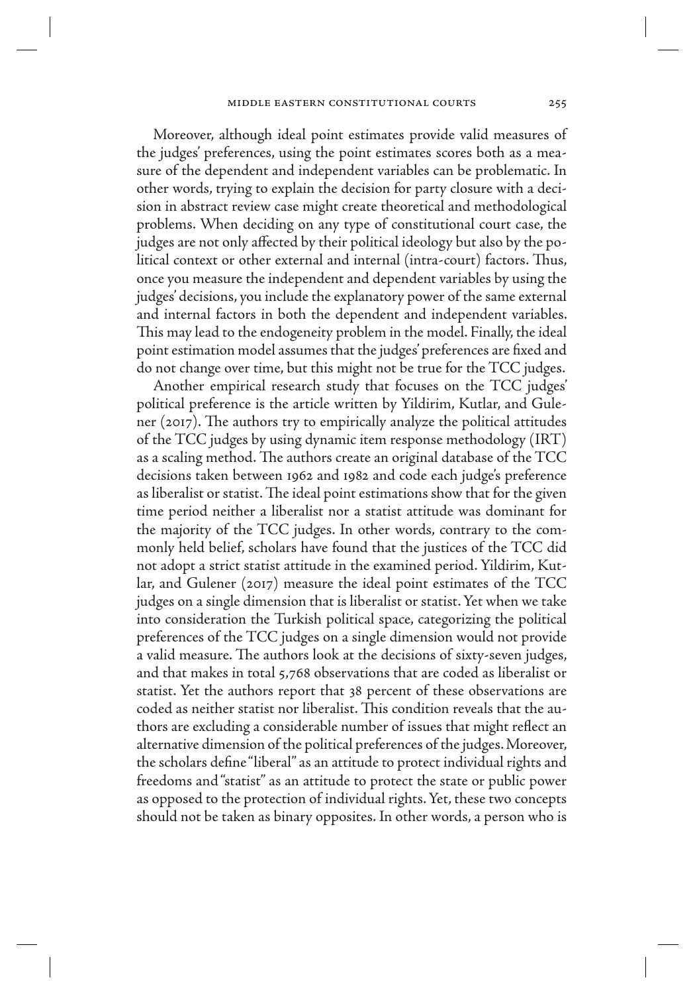Moreover, although ideal point estimates provide valid measures of the judges' preferences, using the point estimates scores both as a measure of the dependent and independent variables can be problematic. In other words, trying to explain the decision for party closure with a decision in abstract review case might create theoretical and methodological problems. When deciding on any type of constitutional court case, the judges are not only affected by their political ideology but also by the political context or other external and internal (intra-court) factors. Thus, once you measure the independent and dependent variables by using the judges' decisions, you include the explanatory power of the same external and internal factors in both the dependent and independent variables. This may lead to the endogeneity problem in the model. Finally, the ideal point estimation model assumes that the judges' preferences are fixed and do not change over time, but this might not be true for the TCC judges.

Another empirical research study that focuses on the TCC judges' political preference is the article written by Yildirim, Kutlar, and Gulener (2017). The authors try to empirically analyze the political attitudes of the TCC judges by using dynamic item response methodology (IRT) as a scaling method. The authors create an original database of the TCC decisions taken between 1962 and 1982 and code each judge's preference as liberalist or statist. The ideal point estimations show that for the given time period neither a liberalist nor a statist attitude was dominant for the majority of the TCC judges. In other words, contrary to the commonly held belief, scholars have found that the justices of the TCC did not adopt a strict statist attitude in the examined period. Yildirim, Kutlar, and Gulener (2017) measure the ideal point estimates of the TCC judges on a single dimension that is liberalist or statist. Yet when we take into consideration the Turkish political space, categorizing the political preferences of the TCC judges on a single dimension would not provide a valid measure. The authors look at the decisions of sixty-seven judges, and that makes in total 5,768 observations that are coded as liberalist or statist. Yet the authors report that 38 percent of these observations are coded as neither statist nor liberalist. This condition reveals that the authors are excluding a considerable number of issues that might reflect an alternative dimension of the political preferences of the judges. Moreover, the scholars define "liberal" as an attitude to protect individual rights and freedoms and "statist" as an attitude to protect the state or public power as opposed to the protection of individual rights. Yet, these two concepts should not be taken as binary opposites. In other words, a person who is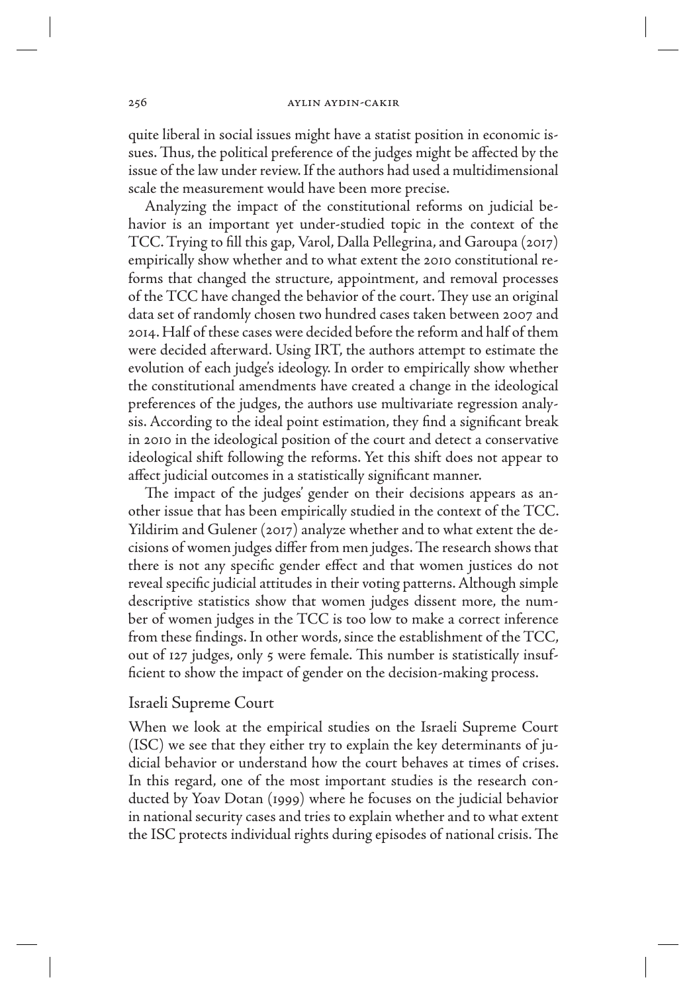quite liberal in social issues might have a statist position in economic issues. Thus, the political preference of the judges might be affected by the issue of the law under review. If the authors had used a multidimensional scale the measurement would have been more precise.

Analyzing the impact of the constitutional reforms on judicial behavior is an important yet under-studied topic in the context of the TCC. Trying to fill this gap, Varol, Dalla Pellegrina, and Garoupa (2017) empirically show whether and to what extent the 2010 constitutional reforms that changed the structure, appointment, and removal processes of the TCC have changed the behavior of the court. They use an original data set of randomly chosen two hundred cases taken between 2007 and 2014. Half of these cases were decided before the reform and half of them were decided afterward. Using IRT, the authors attempt to estimate the evolution of each judge's ideology. In order to empirically show whether the constitutional amendments have created a change in the ideological preferences of the judges, the authors use multivariate regression analysis. According to the ideal point estimation, they find a significant break in 2010 in the ideological position of the court and detect a conservative ideological shift following the reforms. Yet this shift does not appear to affect judicial outcomes in a statistically significant manner.

The impact of the judges' gender on their decisions appears as another issue that has been empirically studied in the context of the TCC. Yildirim and Gulener (2017) analyze whether and to what extent the decisions of women judges differ from men judges. The research shows that there is not any specific gender effect and that women justices do not reveal specific judicial attitudes in their voting patterns. Although simple descriptive statistics show that women judges dissent more, the number of women judges in the TCC is too low to make a correct inference from these findings. In other words, since the establishment of the TCC, out of 127 judges, only 5 were female. This number is statistically insufficient to show the impact of gender on the decision-making process.

# Israeli Supreme Court

When we look at the empirical studies on the Israeli Supreme Court (ISC) we see that they either try to explain the key determinants of judicial behavior or understand how the court behaves at times of crises. In this regard, one of the most important studies is the research conducted by Yoav Dotan (1999) where he focuses on the judicial behavior in national security cases and tries to explain whether and to what extent the ISC protects individual rights during episodes of national crisis. The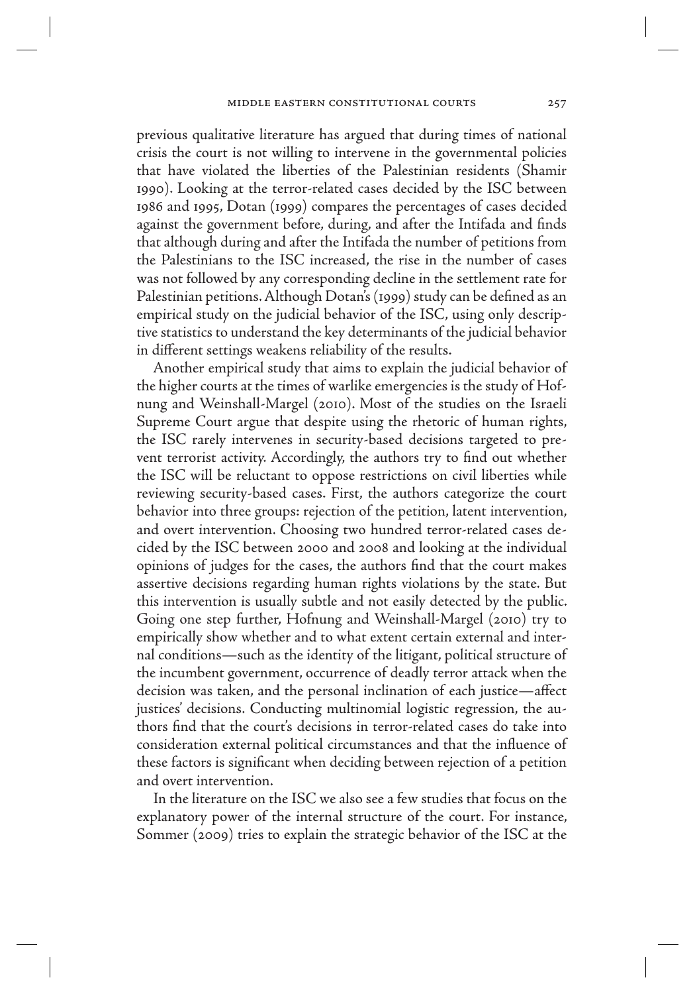previous qualitative literature has argued that during times of national crisis the court is not willing to intervene in the governmental policies that have violated the liberties of the Palestinian residents (Shamir 1990). Looking at the terror-related cases decided by the ISC between 1986 and 1995, Dotan (1999) compares the percentages of cases decided against the government before, during, and after the Intifada and finds that although during and after the Intifada the number of petitions from the Palestinians to the ISC increased, the rise in the number of cases was not followed by any corresponding decline in the settlement rate for Palestinian petitions. Although Dotan's (1999) study can be defined as an empirical study on the judicial behavior of the ISC, using only descriptive statistics to understand the key determinants of the judicial behavior in different settings weakens reliability of the results.

Another empirical study that aims to explain the judicial behavior of the higher courts at the times of warlike emergencies is the study of Hofnung and Weinshall-Margel (2010). Most of the studies on the Israeli Supreme Court argue that despite using the rhetoric of human rights, the ISC rarely intervenes in security-based decisions targeted to prevent terrorist activity. Accordingly, the authors try to find out whether the ISC will be reluctant to oppose restrictions on civil liberties while reviewing security-based cases. First, the authors categorize the court behavior into three groups: rejection of the petition, latent intervention, and overt intervention. Choosing two hundred terror-related cases decided by the ISC between 2000 and 2008 and looking at the individual opinions of judges for the cases, the authors find that the court makes assertive decisions regarding human rights violations by the state. But this intervention is usually subtle and not easily detected by the public. Going one step further, Hofnung and Weinshall-Margel (2010) try to empirically show whether and to what extent certain external and internal conditions—such as the identity of the litigant, political structure of the incumbent government, occurrence of deadly terror attack when the decision was taken, and the personal inclination of each justice—affect justices' decisions. Conducting multinomial logistic regression, the authors find that the court's decisions in terror-related cases do take into consideration external political circumstances and that the influence of these factors is significant when deciding between rejection of a petition and overt intervention.

In the literature on the ISC we also see a few studies that focus on the explanatory power of the internal structure of the court. For instance, Sommer (2009) tries to explain the strategic behavior of the ISC at the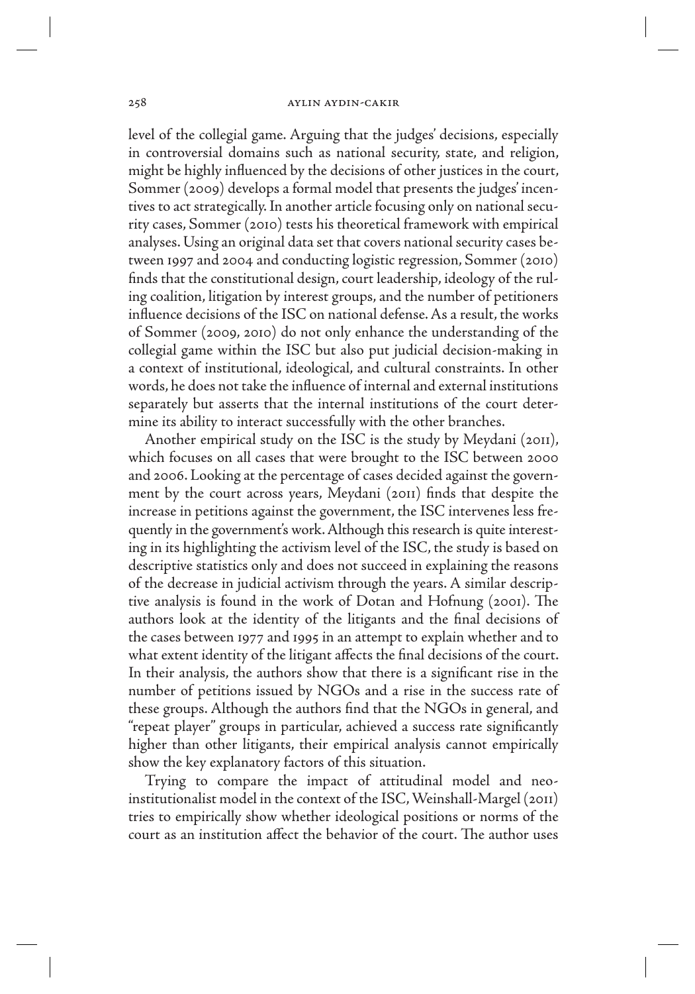level of the collegial game. Arguing that the judges' decisions, especially in controversial domains such as national security, state, and religion, might be highly influenced by the decisions of other justices in the court, Sommer (2009) develops a formal model that presents the judges' incentives to act strategically. In another article focusing only on national security cases, Sommer (2010) tests his theoretical framework with empirical analyses. Using an original data set that covers national security cases between 1997 and 2004 and conducting logistic regression, Sommer (2010) finds that the constitutional design, court leadership, ideology of the ruling coalition, litigation by interest groups, and the number of petitioners influence decisions of the ISC on national defense. As a result, the works of Sommer (2009, 2010) do not only enhance the understanding of the collegial game within the ISC but also put judicial decision-making in a context of institutional, ideological, and cultural constraints. In other words, he does not take the influence of internal and external institutions separately but asserts that the internal institutions of the court determine its ability to interact successfully with the other branches.

Another empirical study on the ISC is the study by Meydani (2011), which focuses on all cases that were brought to the ISC between 2000 and 2006. Looking at the percentage of cases decided against the government by the court across years, Meydani (2011) finds that despite the increase in petitions against the government, the ISC intervenes less frequently in the government's work. Although this research is quite interesting in its highlighting the activism level of the ISC, the study is based on descriptive statistics only and does not succeed in explaining the reasons of the decrease in judicial activism through the years. A similar descriptive analysis is found in the work of Dotan and Hofnung (2001). The authors look at the identity of the litigants and the final decisions of the cases between 1977 and 1995 in an attempt to explain whether and to what extent identity of the litigant affects the final decisions of the court. In their analysis, the authors show that there is a significant rise in the number of petitions issued by NGOs and a rise in the success rate of these groups. Although the authors find that the NGOs in general, and "repeat player" groups in particular, achieved a success rate significantly higher than other litigants, their empirical analysis cannot empirically show the key explanatory factors of this situation.

Trying to compare the impact of attitudinal model and neoinstitutionalist model in the context of the ISC, Weinshall-Margel (2011) tries to empirically show whether ideological positions or norms of the court as an institution affect the behavior of the court. The author uses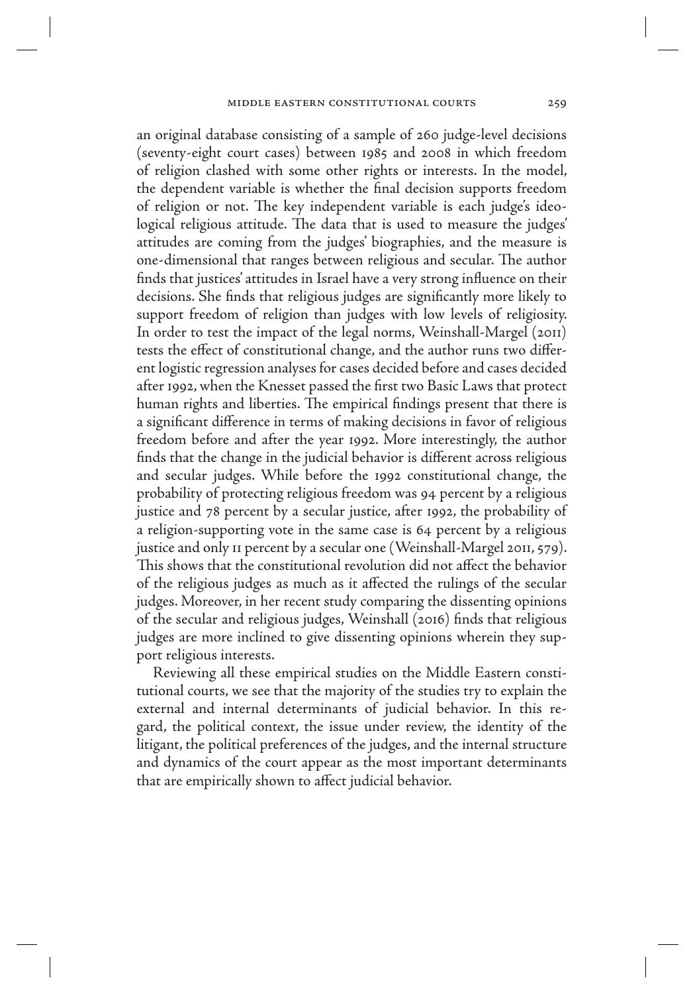an original database consisting of a sample of 260 judge-level decisions (seventy-eight court cases) between 1985 and 2008 in which freedom of religion clashed with some other rights or interests. In the model, the dependent variable is whether the final decision supports freedom of religion or not. The key independent variable is each judge's ideological religious attitude. The data that is used to measure the judges' attitudes are coming from the judges' biographies, and the measure is one-dimensional that ranges between religious and secular. The author finds that justices' attitudes in Israel have a very strong influence on their decisions. She finds that religious judges are significantly more likely to support freedom of religion than judges with low levels of religiosity. In order to test the impact of the legal norms, Weinshall-Margel (2011) tests the effect of constitutional change, and the author runs two different logistic regression analyses for cases decided before and cases decided after 1992, when the Knesset passed the first two Basic Laws that protect human rights and liberties. The empirical findings present that there is a significant difference in terms of making decisions in favor of religious freedom before and after the year 1992. More interestingly, the author finds that the change in the judicial behavior is different across religious and secular judges. While before the 1992 constitutional change, the probability of protecting religious freedom was 94 percent by a religious justice and 78 percent by a secular justice, after 1992, the probability of a religion-supporting vote in the same case is 64 percent by a religious justice and only 11 percent by a secular one (Weinshall-Margel 2011, 579). This shows that the constitutional revolution did not affect the behavior of the religious judges as much as it affected the rulings of the secular judges. Moreover, in her recent study comparing the dissenting opinions of the secular and religious judges, Weinshall (2016) finds that religious judges are more inclined to give dissenting opinions wherein they support religious interests.

Reviewing all these empirical studies on the Middle Eastern constitutional courts, we see that the majority of the studies try to explain the external and internal determinants of judicial behavior. In this regard, the political context, the issue under review, the identity of the litigant, the political preferences of the judges, and the internal structure and dynamics of the court appear as the most important determinants that are empirically shown to affect judicial behavior.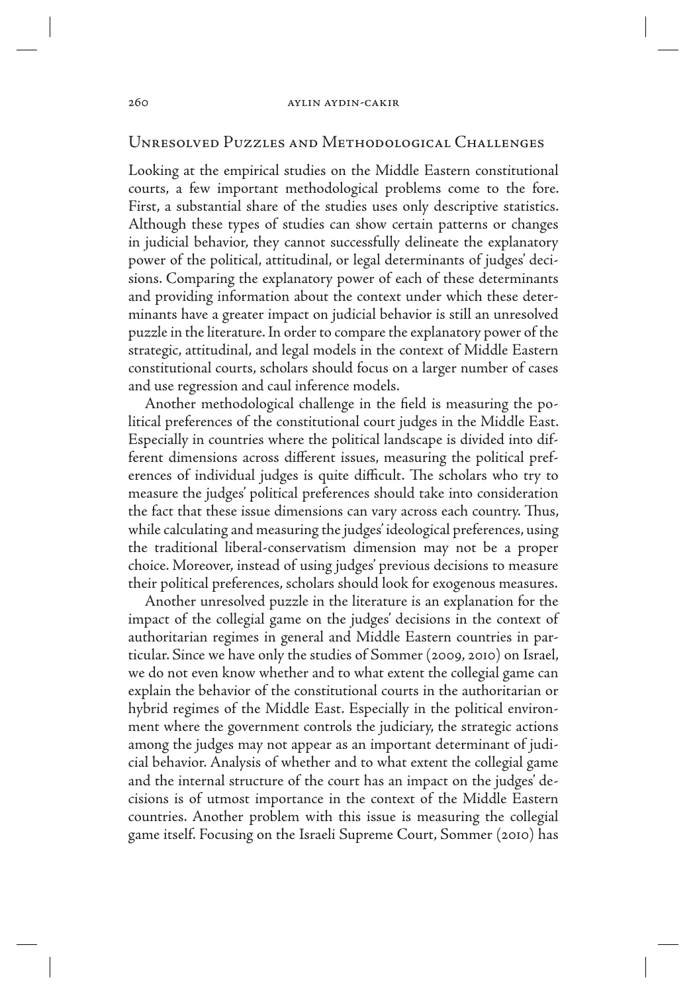# Unresolved Puzzles and Methodological Challenges

Looking at the empirical studies on the Middle Eastern constitutional courts, a few important methodological problems come to the fore. First, a substantial share of the studies uses only descriptive statistics. Although these types of studies can show certain patterns or changes in judicial behavior, they cannot successfully delineate the explanatory power of the political, attitudinal, or legal determinants of judges' decisions. Comparing the explanatory power of each of these determinants and providing information about the context under which these determinants have a greater impact on judicial behavior is still an unresolved puzzle in the literature. In order to compare the explanatory power of the strategic, attitudinal, and legal models in the context of Middle Eastern constitutional courts, scholars should focus on a larger number of cases and use regression and caul inference models.

Another methodological challenge in the field is measuring the political preferences of the constitutional court judges in the Middle East. Especially in countries where the political landscape is divided into different dimensions across different issues, measuring the political preferences of individual judges is quite difficult. The scholars who try to measure the judges' political preferences should take into consideration the fact that these issue dimensions can vary across each country. Thus, while calculating and measuring the judges' ideological preferences, using the traditional liberal-conservatism dimension may not be a proper choice. Moreover, instead of using judges' previous decisions to measure their political preferences, scholars should look for exogenous measures.

Another unresolved puzzle in the literature is an explanation for the impact of the collegial game on the judges' decisions in the context of authoritarian regimes in general and Middle Eastern countries in particular. Since we have only the studies of Sommer (2009, 2010) on Israel, we do not even know whether and to what extent the collegial game can explain the behavior of the constitutional courts in the authoritarian or hybrid regimes of the Middle East. Especially in the political environment where the government controls the judiciary, the strategic actions among the judges may not appear as an important determinant of judicial behavior. Analysis of whether and to what extent the collegial game and the internal structure of the court has an impact on the judges' decisions is of utmost importance in the context of the Middle Eastern countries. Another problem with this issue is measuring the collegial game itself. Focusing on the Israeli Supreme Court, Sommer (2010) has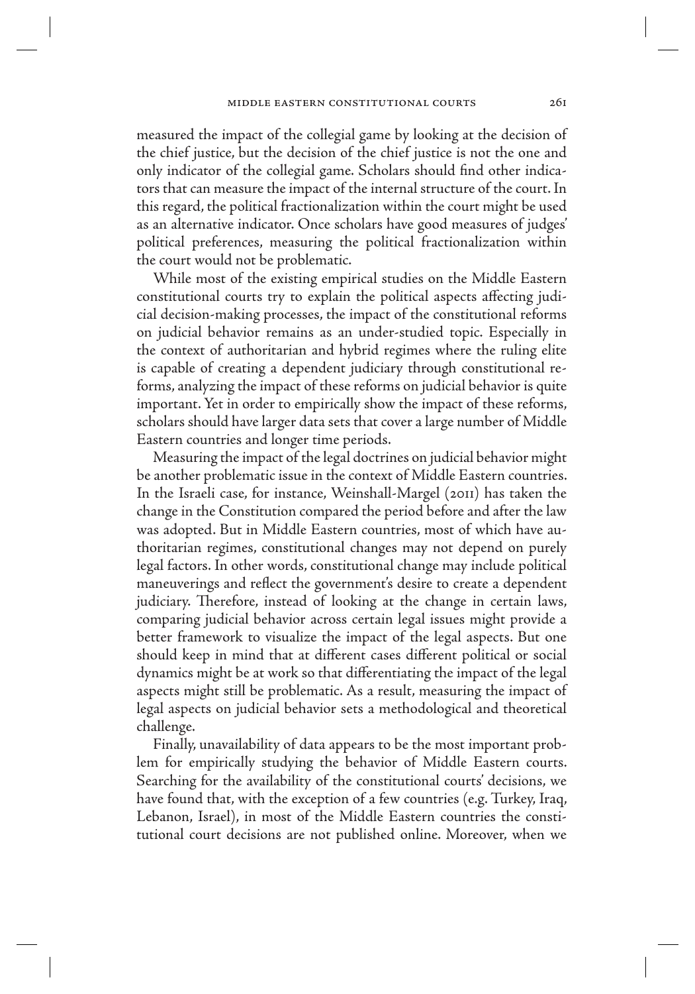measured the impact of the collegial game by looking at the decision of the chief justice, but the decision of the chief justice is not the one and only indicator of the collegial game. Scholars should find other indicators that can measure the impact of the internal structure of the court. In this regard, the political fractionalization within the court might be used as an alternative indicator. Once scholars have good measures of judges' political preferences, measuring the political fractionalization within the court would not be problematic.

While most of the existing empirical studies on the Middle Eastern constitutional courts try to explain the political aspects affecting judicial decision-making processes, the impact of the constitutional reforms on judicial behavior remains as an under-studied topic. Especially in the context of authoritarian and hybrid regimes where the ruling elite is capable of creating a dependent judiciary through constitutional reforms, analyzing the impact of these reforms on judicial behavior is quite important. Yet in order to empirically show the impact of these reforms, scholars should have larger data sets that cover a large number of Middle Eastern countries and longer time periods.

Measuring the impact of the legal doctrines on judicial behavior might be another problematic issue in the context of Middle Eastern countries. In the Israeli case, for instance, Weinshall-Margel (2011) has taken the change in the Constitution compared the period before and after the law was adopted. But in Middle Eastern countries, most of which have authoritarian regimes, constitutional changes may not depend on purely legal factors. In other words, constitutional change may include political maneuverings and reflect the government's desire to create a dependent judiciary. Therefore, instead of looking at the change in certain laws, comparing judicial behavior across certain legal issues might provide a better framework to visualize the impact of the legal aspects. But one should keep in mind that at different cases different political or social dynamics might be at work so that differentiating the impact of the legal aspects might still be problematic. As a result, measuring the impact of legal aspects on judicial behavior sets a methodological and theoretical challenge.

Finally, unavailability of data appears to be the most important problem for empirically studying the behavior of Middle Eastern courts. Searching for the availability of the constitutional courts' decisions, we have found that, with the exception of a few countries (e.g. Turkey, Iraq, Lebanon, Israel), in most of the Middle Eastern countries the constitutional court decisions are not published online. Moreover, when we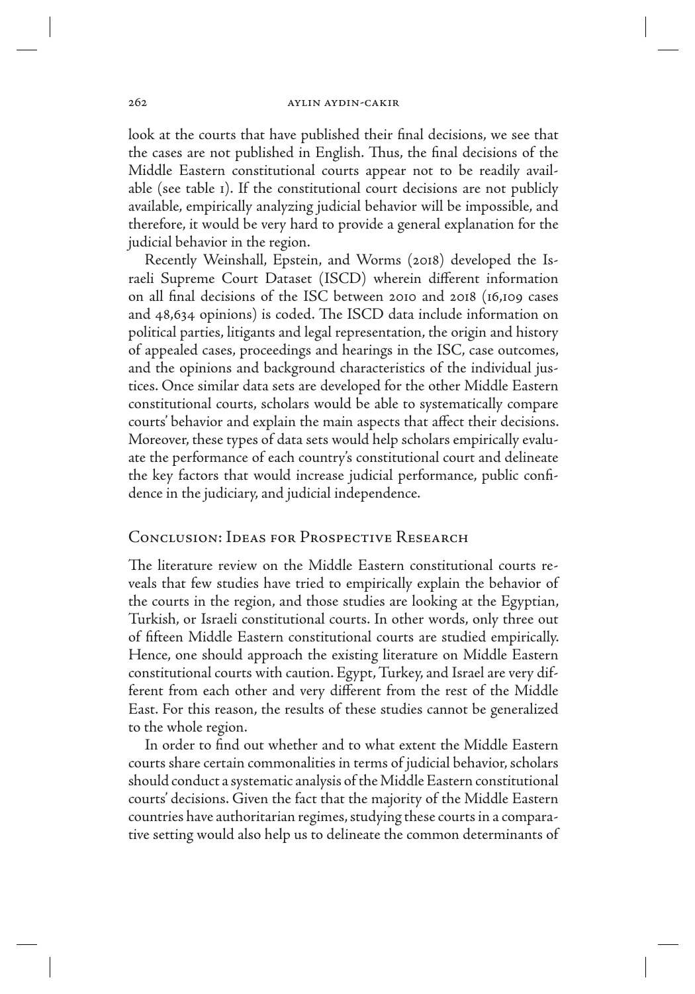look at the courts that have published their final decisions, we see that the cases are not published in English. Thus, the final decisions of the Middle Eastern constitutional courts appear not to be readily available (see table 1). If the constitutional court decisions are not publicly available, empirically analyzing judicial behavior will be impossible, and therefore, it would be very hard to provide a general explanation for the judicial behavior in the region.

Recently Weinshall, Epstein, and Worms (2018) developed the Israeli Supreme Court Dataset (ISCD) wherein different information on all final decisions of the ISC between 2010 and 2018 (16,109 cases and 48,634 opinions) is coded. The ISCD data include information on political parties, litigants and legal representation, the origin and history of appealed cases, proceedings and hearings in the ISC, case outcomes, and the opinions and background characteristics of the individual justices. Once similar data sets are developed for the other Middle Eastern constitutional courts, scholars would be able to systematically compare courts' behavior and explain the main aspects that affect their decisions. Moreover, these types of data sets would help scholars empirically evaluate the performance of each country's constitutional court and delineate the key factors that would increase judicial performance, public confidence in the judiciary, and judicial independence.

# Conclusion: Ideas for Prospective Research

The literature review on the Middle Eastern constitutional courts reveals that few studies have tried to empirically explain the behavior of the courts in the region, and those studies are looking at the Egyptian, Turkish, or Israeli constitutional courts. In other words, only three out of fifteen Middle Eastern constitutional courts are studied empirically. Hence, one should approach the existing literature on Middle Eastern constitutional courts with caution. Egypt, Turkey, and Israel are very different from each other and very different from the rest of the Middle East. For this reason, the results of these studies cannot be generalized to the whole region.

In order to find out whether and to what extent the Middle Eastern courts share certain commonalities in terms of judicial behavior, scholars should conduct a systematic analysis of the Middle Eastern constitutional courts' decisions. Given the fact that the majority of the Middle Eastern countries have authoritarian regimes, studying these courts in a comparative setting would also help us to delineate the common determinants of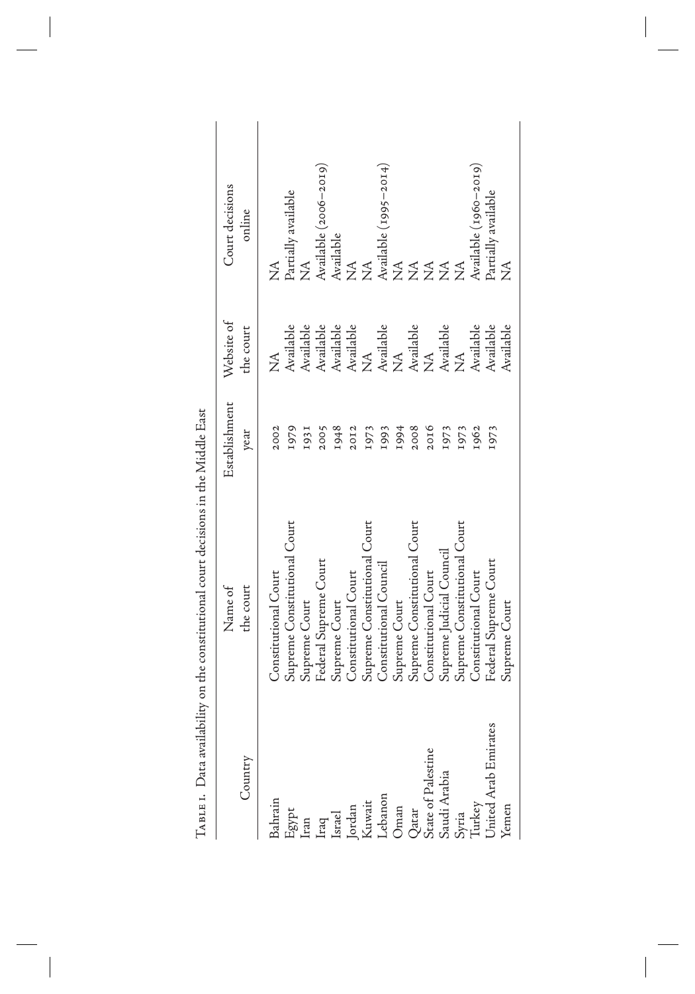|                                                                                                                                                                         | Name of                      | Establishment | Website of                   | Court decisions                               |
|-------------------------------------------------------------------------------------------------------------------------------------------------------------------------|------------------------------|---------------|------------------------------|-----------------------------------------------|
| Country                                                                                                                                                                 | the court                    | year          | the court                    | online                                        |
| Bahrain                                                                                                                                                                 | Constitutional Court         | 2002          | $\breve{\Sigma}$             | $\breve{\Xi}$                                 |
| Egypt<br>Iran<br>Iran<br>Istrael<br>Istrael<br>Kuwait<br>Kuwait<br>Cehar<br>Qatar<br>Stae of Palestine<br>Stae of Palestine<br>State of Palestine<br>State of Palestine | Supreme Constitutional Court | I979          | Available                    | Partially available                           |
|                                                                                                                                                                         | Supreme Court                | 1931          | Available                    | $\sum_{i=1}^{n}$                              |
|                                                                                                                                                                         | Federal Supreme Court        | 2005          | Available                    | Available (2006–2019)                         |
|                                                                                                                                                                         | Supreme Court                | 1948          | Available                    | Available                                     |
|                                                                                                                                                                         | Constitutional Court         | 20I2          | Available                    | $\widetilde{\Sigma}$                          |
|                                                                                                                                                                         | Supreme Constitutional Court | 1973          | $\mathbb{Z}$                 | $\lessapprox$                                 |
|                                                                                                                                                                         | Constitutional Council       | 1993          | Available<br>NA<br>Available |                                               |
|                                                                                                                                                                         | Supreme Court                | 1994          |                              |                                               |
|                                                                                                                                                                         | Supreme Constitutional Court | 2008          |                              |                                               |
|                                                                                                                                                                         | Constitutional Court         | 2016          | $\widetilde{\Sigma}$         |                                               |
|                                                                                                                                                                         | Supreme Judicial Council     | 1973          | Available                    | Available (1995–2014)<br>NA<br>NA<br>NA<br>NA |
|                                                                                                                                                                         | Supreme Constitutional Court | I973          | $\tilde{\mathbf{X}}$         |                                               |
|                                                                                                                                                                         | Constitutional Court         | 1962          | Available                    | Available (1960–2019)                         |
| Jnited Arab Emirates                                                                                                                                                    | Federal Supreme Court        | 1973          | Available                    | Partially available                           |
| <b>f</b> emen                                                                                                                                                           | Supreme Court                |               | Available                    | $\breve{\Xi}$                                 |

 $\overline{\phantom{a}}$ 

 $\begin{array}{c} \hline \end{array}$ 

 $\overline{\phantom{a}}$ 

TABLE I. Data availability on the constitutional court decisions in the Middle East Table 1. Data availability on the constitutional court decisions in the Middle East

 $\overline{\phantom{a}}$ 

 $\begin{array}{c} \hline \end{array}$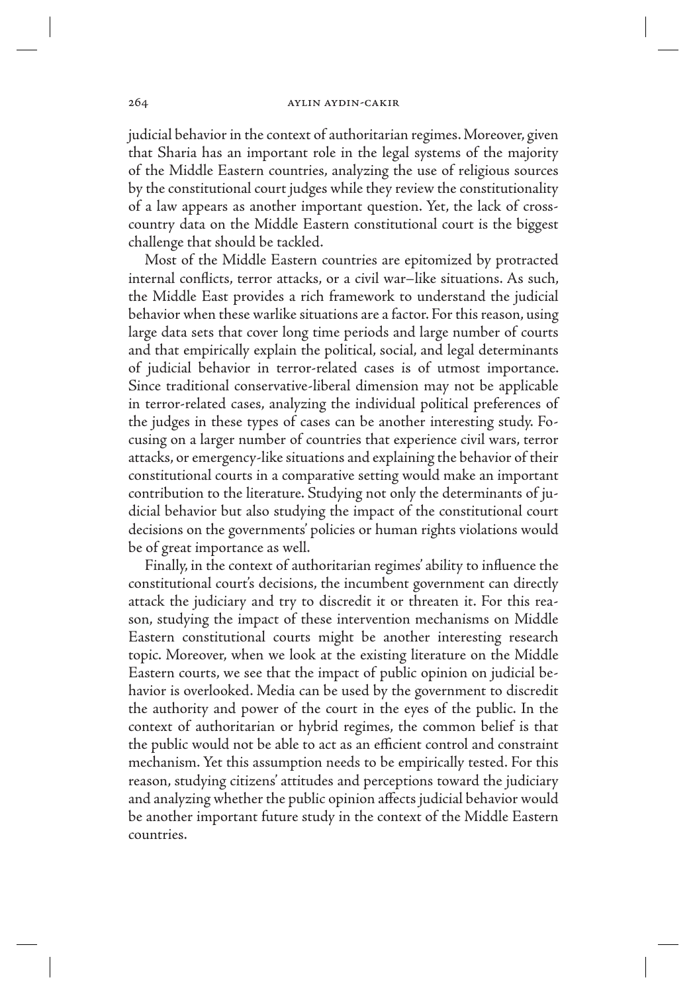judicial behavior in the context of authoritarian regimes. Moreover, given that Sharia has an important role in the legal systems of the majority of the Middle Eastern countries, analyzing the use of religious sources by the constitutional court judges while they review the constitutionality of a law appears as another important question. Yet, the lack of crosscountry data on the Middle Eastern constitutional court is the biggest challenge that should be tackled.

Most of the Middle Eastern countries are epitomized by protracted internal conflicts, terror attacks, or a civil war–like situations. As such, the Middle East provides a rich framework to understand the judicial behavior when these warlike situations are a factor. For this reason, using large data sets that cover long time periods and large number of courts and that empirically explain the political, social, and legal determinants of judicial behavior in terror-related cases is of utmost importance. Since traditional conservative-liberal dimension may not be applicable in terror-related cases, analyzing the individual political preferences of the judges in these types of cases can be another interesting study. Focusing on a larger number of countries that experience civil wars, terror attacks, or emergency-like situations and explaining the behavior of their constitutional courts in a comparative setting would make an important contribution to the literature. Studying not only the determinants of judicial behavior but also studying the impact of the constitutional court decisions on the governments' policies or human rights violations would be of great importance as well.

Finally, in the context of authoritarian regimes' ability to influence the constitutional court's decisions, the incumbent government can directly attack the judiciary and try to discredit it or threaten it. For this reason, studying the impact of these intervention mechanisms on Middle Eastern constitutional courts might be another interesting research topic. Moreover, when we look at the existing literature on the Middle Eastern courts, we see that the impact of public opinion on judicial behavior is overlooked. Media can be used by the government to discredit the authority and power of the court in the eyes of the public. In the context of authoritarian or hybrid regimes, the common belief is that the public would not be able to act as an efficient control and constraint mechanism. Yet this assumption needs to be empirically tested. For this reason, studying citizens' attitudes and perceptions toward the judiciary and analyzing whether the public opinion affects judicial behavior would be another important future study in the context of the Middle Eastern countries.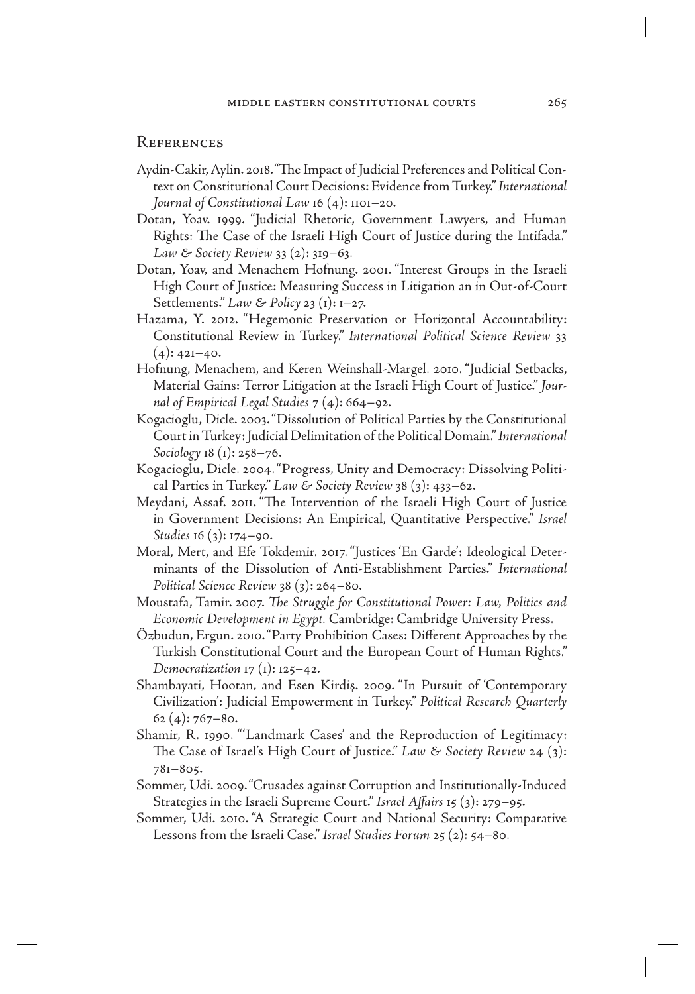# **REFERENCES**

- Aydin-Cakir, Aylin. 2018. "The Impact of Judicial Preferences and Political Context on Constitutional Court Decisions: Evidence from Turkey." *International Journal of Constitutional Law* 16 (4): 1101–20.
- Dotan, Yoav. 1999. "Judicial Rhetoric, Government Lawyers, and Human Rights: The Case of the Israeli High Court of Justice during the Intifada." *Law & Society Review* 33 (2): 319–63.
- Dotan, Yoav, and Menachem Hofnung. 2001. "Interest Groups in the Israeli High Court of Justice: Measuring Success in Litigation an in Out-of-Court Settlements." *Law & Policy* 23 (1): 1–27.
- Hazama, Y. 2012. "Hegemonic Preservation or Horizontal Accountability: Constitutional Review in Turkey." *International Political Science Review* 33  $(4): 42I-40.$
- Hofnung, Menachem, and Keren Weinshall-Margel. 2010. "Judicial Setbacks, Material Gains: Terror Litigation at the Israeli High Court of Justice." *Journal of Empirical Legal Studies* 7 (4): 664–92.
- Kogacioglu, Dicle. 2003. "Dissolution of Political Parties by the Constitutional Court in Turkey: Judicial Delimitation of the Political Domain." *International Sociology* 18 (1): 258–76.
- Kogacioglu, Dicle. 2004. "Progress, Unity and Democracy: Dissolving Political Parties in Turkey." *Law & Society Review* 38 (3): 433–62.
- Meydani, Assaf. 2011. "The Intervention of the Israeli High Court of Justice in Government Decisions: An Empirical, Quantitative Perspective." *Israel Studies* 16 (3): 174–90.
- Moral, Mert, and Efe Tokdemir. 2017. "Justices 'En Garde': Ideological Determinants of the Dissolution of Anti-Establishment Parties." *International Political Science Review* 38 (3): 264–80.
- Moustafa, Tamir. 2007. *The Struggle for Constitutional Power: Law, Politics and Economic Development in Egypt.* Cambridge: Cambridge University Press.
- Özbudun, Ergun. 2010. "Party Prohibition Cases: Different Approaches by the Turkish Constitutional Court and the European Court of Human Rights." *Democratization* 17 (1): 125–42.
- Shambayati, Hootan, and Esen Kirdiş. 2009. "In Pursuit of 'Contemporary Civilization': Judicial Empowerment in Turkey." *Political Research Quarterly*  $62(4): 767 - 80.$
- Shamir, R. 1990. "'Landmark Cases' and the Reproduction of Legitimacy: The Case of Israel's High Court of Justice." *Law & Society Review* 24 (3): 781–805.
- Sommer, Udi. 2009. "Crusades against Corruption and Institutionally-Induced Strategies in the Israeli Supreme Court." *Israel Affairs* 15 (3): 279–95.
- Sommer, Udi. 2010. "A Strategic Court and National Security: Comparative Lessons from the Israeli Case." *Israel Studies Forum* 25 (2): 54–80.